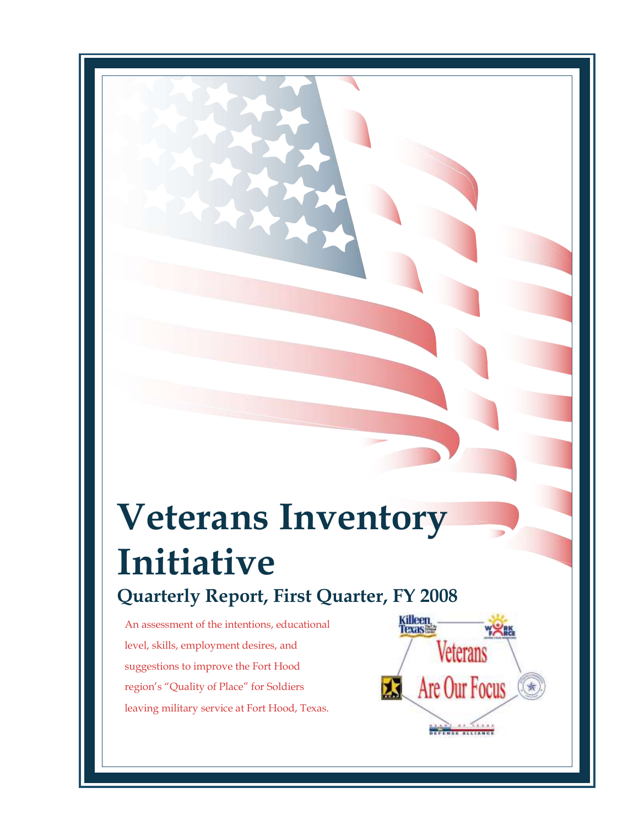# **Veterans Inventory Initiative Quarterly Report, First Quarter, FY 2008**

An assessment of the intentions, educational level, skills, employment desires, and suggestions to improve the Fort Hood region's "Quality of Place" for Soldiers leaving military service at Fort Hood, Texas.

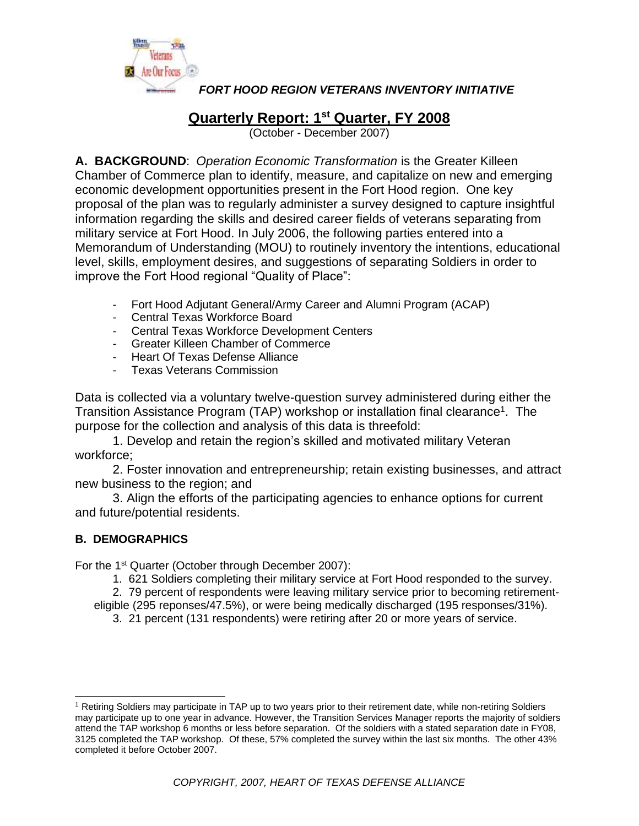

## **Quarterly Report: 1 st Quarter, FY 2008**

(October - December 2007)

**A. BACKGROUND**: *Operation Economic Transformation* is the Greater Killeen Chamber of Commerce plan to identify, measure, and capitalize on new and emerging economic development opportunities present in the Fort Hood region. One key proposal of the plan was to regularly administer a survey designed to capture insightful information regarding the skills and desired career fields of veterans separating from military service at Fort Hood. In July 2006, the following parties entered into a Memorandum of Understanding (MOU) to routinely inventory the intentions, educational level, skills, employment desires, and suggestions of separating Soldiers in order to improve the Fort Hood regional "Quality of Place":

- Fort Hood Adjutant General/Army Career and Alumni Program (ACAP)
- Central Texas Workforce Board
- Central Texas Workforce Development Centers
- Greater Killeen Chamber of Commerce
- Heart Of Texas Defense Alliance
- Texas Veterans Commission

Data is collected via a voluntary twelve-question survey administered during either the Transition Assistance Program (TAP) workshop or installation final clearance<sup>1</sup>. The purpose for the collection and analysis of this data is threefold:

1. Develop and retain the region's skilled and motivated military Veteran workforce;

2. Foster innovation and entrepreneurship; retain existing businesses, and attract new business to the region; and

3. Align the efforts of the participating agencies to enhance options for current and future/potential residents.

### **B. DEMOGRAPHICS**

For the 1<sup>st</sup> Quarter (October through December 2007):

1. 621 Soldiers completing their military service at Fort Hood responded to the survey.

2. 79 percent of respondents were leaving military service prior to becoming retirement-

eligible (295 reponses/47.5%), or were being medically discharged (195 responses/31%).

3. 21 percent (131 respondents) were retiring after 20 or more years of service.

<sup>1</sup> Retiring Soldiers may participate in TAP up to two years prior to their retirement date, while non-retiring Soldiers may participate up to one year in advance. However, the Transition Services Manager reports the majority of soldiers attend the TAP workshop 6 months or less before separation. Of the soldiers with a stated separation date in FY08, 3125 completed the TAP workshop. Of these, 57% completed the survey within the last six months. The other 43% completed it before October 2007.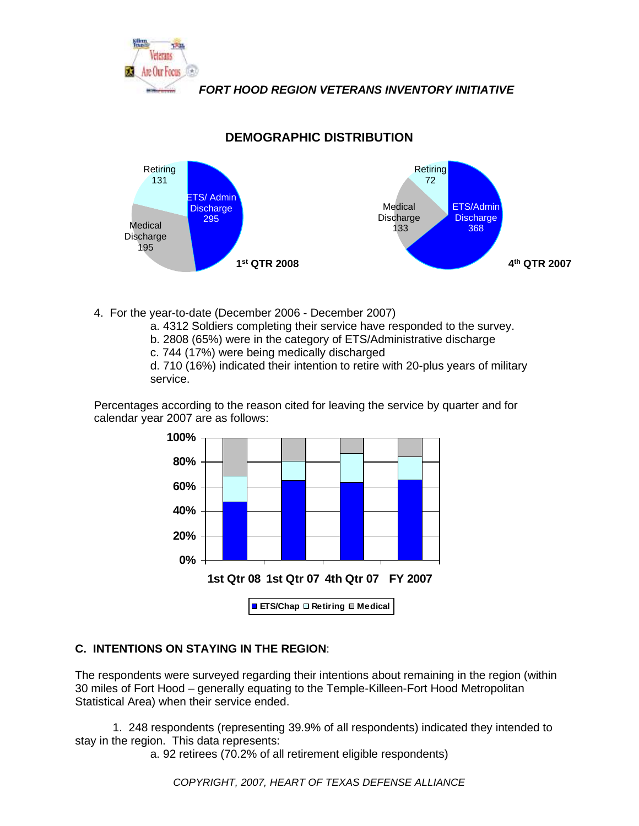



**DEMOGRAPHIC DISTRIBUTION**

4. For the year-to-date (December 2006 - December 2007)

a. 4312 Soldiers completing their service have responded to the survey.

- b. 2808 (65%) were in the category of ETS/Administrative discharge
- c. 744 (17%) were being medically discharged

d. 710 (16%) indicated their intention to retire with 20-plus years of military service.

Percentages according to the reason cited for leaving the service by quarter and for calendar year 2007 are as follows:



### **C. INTENTIONS ON STAYING IN THE REGION**:

The respondents were surveyed regarding their intentions about remaining in the region (within 30 miles of Fort Hood – generally equating to the Temple-Killeen-Fort Hood Metropolitan Statistical Area) when their service ended.

1. 248 respondents (representing 39.9% of all respondents) indicated they intended to stay in the region. This data represents:

a. 92 retirees (70.2% of all retirement eligible respondents)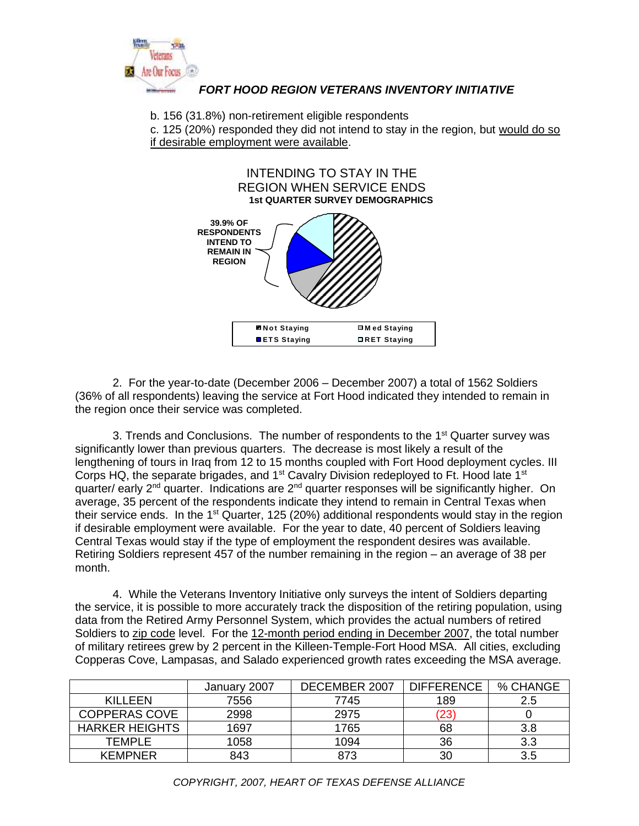

b. 156 (31.8%) non-retirement eligible respondents

c. 125 (20%) responded they did not intend to stay in the region, but would do so if desirable employment were available.



2. For the year-to-date (December 2006 – December 2007) a total of 1562 Soldiers (36% of all respondents) leaving the service at Fort Hood indicated they intended to remain in the region once their service was completed.

3. Trends and Conclusions. The number of respondents to the 1<sup>st</sup> Quarter survey was significantly lower than previous quarters. The decrease is most likely a result of the lengthening of tours in Iraq from 12 to 15 months coupled with Fort Hood deployment cycles. III Corps HQ, the separate brigades, and  $1<sup>st</sup>$  Cavalry Division redeployed to Ft. Hood late  $1<sup>st</sup>$ quarter/ early 2<sup>nd</sup> quarter. Indications are 2<sup>nd</sup> quarter responses will be significantly higher. On average, 35 percent of the respondents indicate they intend to remain in Central Texas when their service ends. In the 1<sup>st</sup> Quarter, 125 (20%) additional respondents would stay in the region if desirable employment were available. For the year to date, 40 percent of Soldiers leaving Central Texas would stay if the type of employment the respondent desires was available. Retiring Soldiers represent 457 of the number remaining in the region – an average of 38 per month.

4. While the Veterans Inventory Initiative only surveys the intent of Soldiers departing the service, it is possible to more accurately track the disposition of the retiring population, using data from the Retired Army Personnel System, which provides the actual numbers of retired Soldiers to zip code level. For the 12-month period ending in December 2007, the total number of military retirees grew by 2 percent in the Killeen-Temple-Fort Hood MSA. All cities, excluding Copperas Cove, Lampasas, and Salado experienced growth rates exceeding the MSA average.

|                       | January 2007 | DECEMBER 2007 | <b>DIFFERENCE</b>  | % CHANGE |
|-----------------------|--------------|---------------|--------------------|----------|
| KILLEEN               | 7556         | 7745          | 189                | 2.5      |
| <b>COPPERAS COVE</b>  | 2998         | 2975          | $\left( 23\right)$ |          |
| <b>HARKER HEIGHTS</b> | 1697         | 1765          | 68                 | 3.8      |
| TEMPLE                | 1058         | 1094          | 36                 | 3.3      |
| <b>KEMPNER</b>        | 843          | 873           | 30                 | 3.5      |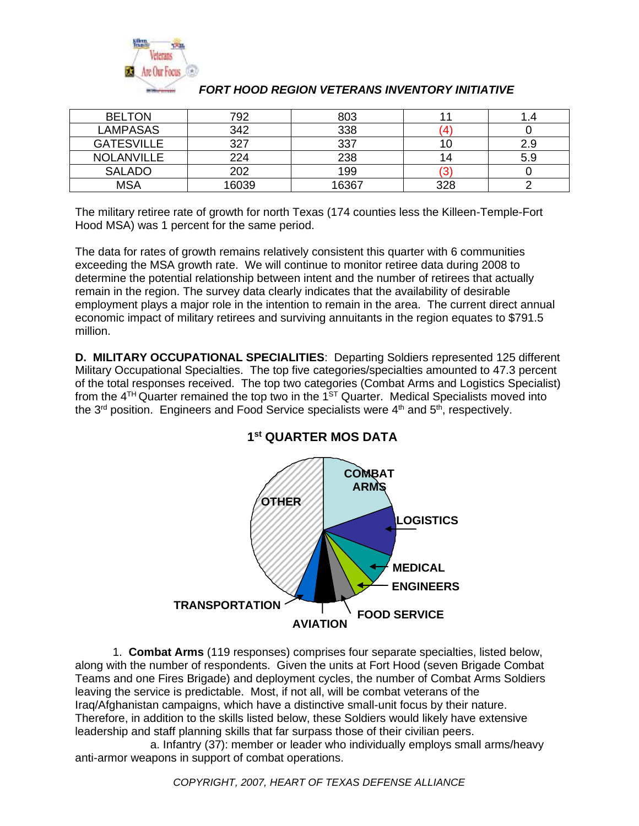

| <b>BELTON</b>     | 792  | 803   |     |     |
|-------------------|------|-------|-----|-----|
| LAMPASAS          | 342  | 338   |     |     |
| <b>GATESVILLE</b> | ־רמ  | דרי   |     | 2.9 |
| <b>NOLANVILLE</b> | 224  | 238   |     | 5.9 |
| <b>SALADO</b>     | מ∩מ  | 199   | O   |     |
| MSA               | 6039 | 16367 | 328 |     |

The military retiree rate of growth for north Texas (174 counties less the Killeen-Temple-Fort Hood MSA) was 1 percent for the same period.

The data for rates of growth remains relatively consistent this quarter with 6 communities exceeding the MSA growth rate. We will continue to monitor retiree data during 2008 to determine the potential relationship between intent and the number of retirees that actually remain in the region. The survey data clearly indicates that the availability of desirable employment plays a major role in the intention to remain in the area. The current direct annual economic impact of military retirees and surviving annuitants in the region equates to \$791.5 million.

**D. MILITARY OCCUPATIONAL SPECIALITIES**: Departing Soldiers represented 125 different Military Occupational Specialties. The top five categories/specialties amounted to 47.3 percent of the total responses received. The top two categories (Combat Arms and Logistics Specialist) from the  $4^{TH}$ Quarter remained the top two in the 1<sup>ST</sup> Quarter. Medical Specialists moved into the  $3<sup>rd</sup>$  position. Engineers and Food Service specialists were  $4<sup>th</sup>$  and  $5<sup>th</sup>$ , respectively.



#### **1 st QUARTER MOS DATA**

1. **Combat Arms** (119 responses) comprises four separate specialties, listed below, along with the number of respondents. Given the units at Fort Hood (seven Brigade Combat Teams and one Fires Brigade) and deployment cycles, the number of Combat Arms Soldiers leaving the service is predictable. Most, if not all, will be combat veterans of the Iraq/Afghanistan campaigns, which have a distinctive small-unit focus by their nature. Therefore, in addition to the skills listed below, these Soldiers would likely have extensive leadership and staff planning skills that far surpass those of their civilian peers.

a. Infantry (37): member or leader who individually employs small arms/heavy anti-armor weapons in support of combat operations.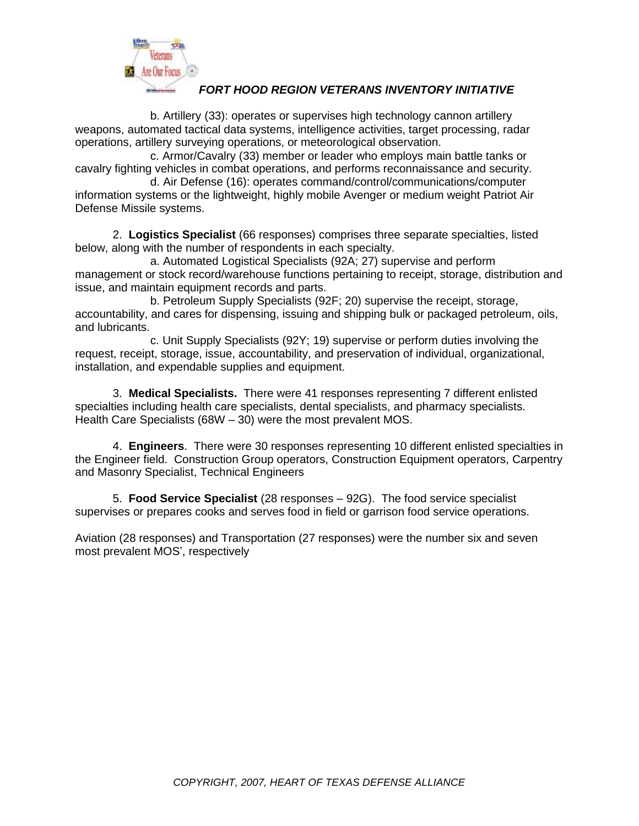

b. Artillery (33): operates or supervises high technology cannon artillery weapons, automated tactical data systems, intelligence activities, target processing, radar operations, artillery surveying operations, or meteorological observation.

c. Armor/Cavalry (33) member or leader who employs main battle tanks or cavalry fighting vehicles in combat operations, and performs reconnaissance and security.

d. Air Defense (16): operates command/control/communications/computer information systems or the lightweight, highly mobile Avenger or medium weight Patriot Air Defense Missile systems.

2. **Logistics Specialist** (66 responses) comprises three separate specialties, listed below, along with the number of respondents in each specialty.

a. Automated Logistical Specialists (92A; 27) supervise and perform management or stock record/warehouse functions pertaining to receipt, storage, distribution and issue, and maintain equipment records and parts.

b. Petroleum Supply Specialists (92F; 20) supervise the receipt, storage, accountability, and cares for dispensing, issuing and shipping bulk or packaged petroleum, oils, and lubricants.

c. Unit Supply Specialists (92Y; 19) supervise or perform duties involving the request, receipt, storage, issue, accountability, and preservation of individual, organizational, installation, and expendable supplies and equipment.

3. **Medical Specialists.** There were 41 responses representing 7 different enlisted specialties including health care specialists, dental specialists, and pharmacy specialists. Health Care Specialists (68W – 30) were the most prevalent MOS.

4. **Engineers**. There were 30 responses representing 10 different enlisted specialties in the Engineer field. Construction Group operators, Construction Equipment operators, Carpentry and Masonry Specialist, Technical Engineers

5. **Food Service Specialist** (28 responses – 92G). The food service specialist supervises or prepares cooks and serves food in field or garrison food service operations.

Aviation (28 responses) and Transportation (27 responses) were the number six and seven most prevalent MOS', respectively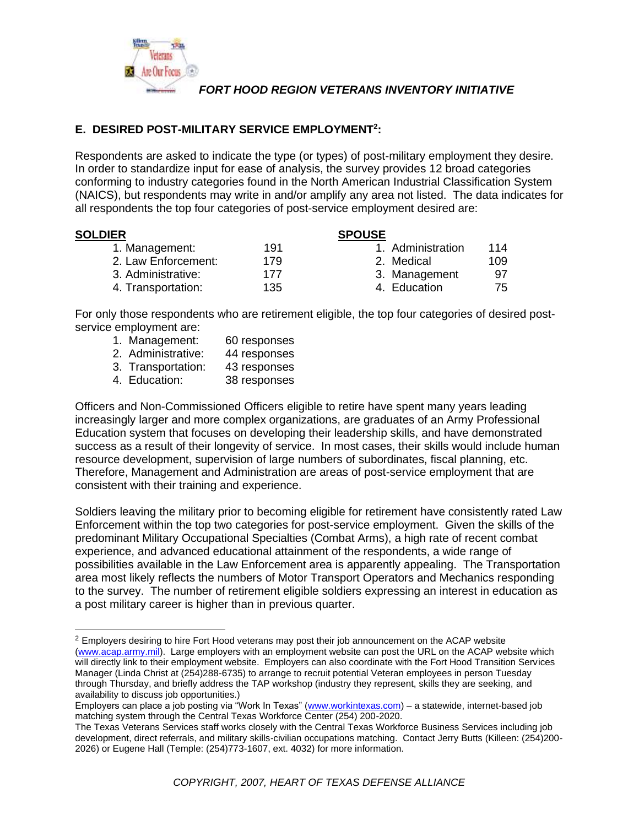

#### **E. DESIRED POST-MILITARY SERVICE EMPLOYMENT<sup>2</sup> :**

Respondents are asked to indicate the type (or types) of post-military employment they desire. In order to standardize input for ease of analysis, the survey provides 12 broad categories conforming to industry categories found in the North American Industrial Classification System (NAICS), but respondents may write in and/or amplify any area not listed. The data indicates for all respondents the top four categories of post-service employment desired are:

| <b>SOLDIER</b>      |     | <b>SPOUSE</b>     |     |
|---------------------|-----|-------------------|-----|
| 1. Management:      | 191 | 1. Administration | 114 |
| 2. Law Enforcement: | 179 | 2. Medical        | 109 |
| 3. Administrative:  | 177 | 3. Management     | 97  |
| 4. Transportation:  | 135 | 4. Education      | 75  |

For only those respondents who are retirement eligible, the top four categories of desired postservice employment are:

- 1. Management: 60 responses
- 2. Administrative: 44 responses
- 3. Transportation: 43 responses
- 4. Education: 38 responses

Officers and Non-Commissioned Officers eligible to retire have spent many years leading increasingly larger and more complex organizations, are graduates of an Army Professional Education system that focuses on developing their leadership skills, and have demonstrated success as a result of their longevity of service. In most cases, their skills would include human resource development, supervision of large numbers of subordinates, fiscal planning, etc. Therefore, Management and Administration are areas of post-service employment that are consistent with their training and experience.

Soldiers leaving the military prior to becoming eligible for retirement have consistently rated Law Enforcement within the top two categories for post-service employment. Given the skills of the predominant Military Occupational Specialties (Combat Arms), a high rate of recent combat experience, and advanced educational attainment of the respondents, a wide range of possibilities available in the Law Enforcement area is apparently appealing. The Transportation area most likely reflects the numbers of Motor Transport Operators and Mechanics responding to the survey. The number of retirement eligible soldiers expressing an interest in education as a post military career is higher than in previous quarter.

<sup>&</sup>lt;sup>2</sup> Employers desiring to hire Fort Hood veterans may post their job announcement on the ACAP website [\(www.acap.army.mil\)](http://www.acap.army.mil/). Large employers with an employment website can post the URL on the ACAP website which will directly link to their employment website. Employers can also coordinate with the Fort Hood Transition Services Manager (Linda Christ at (254)288-6735) to arrange to recruit potential Veteran employees in person Tuesday through Thursday, and briefly address the TAP workshop (industry they represent, skills they are seeking, and availability to discuss job opportunities.)

Employers can place a job posting via "Work In Texas" [\(www.workintexas.com\)](http://www.workintexas.com/) – a statewide, internet-based job matching system through the Central Texas Workforce Center (254) 200-2020.

The Texas Veterans Services staff works closely with the Central Texas Workforce Business Services including job development, direct referrals, and military skills-civilian occupations matching. Contact Jerry Butts (Killeen: (254)200- 2026) or Eugene Hall (Temple: (254)773-1607, ext. 4032) for more information.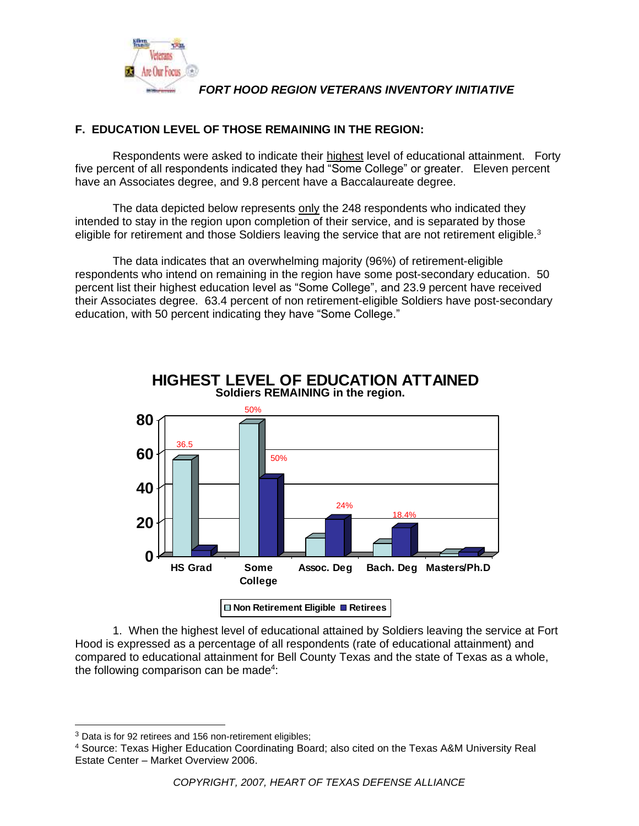

#### **F. EDUCATION LEVEL OF THOSE REMAINING IN THE REGION:**

Respondents were asked to indicate their highest level of educational attainment. Forty five percent of all respondents indicated they had "Some College" or greater. Eleven percent have an Associates degree, and 9.8 percent have a Baccalaureate degree.

The data depicted below represents only the 248 respondents who indicated they intended to stay in the region upon completion of their service, and is separated by those eligible for retirement and those Soldiers leaving the service that are not retirement eligible.<sup>3</sup>

The data indicates that an overwhelming majority (96%) of retirement-eligible respondents who intend on remaining in the region have some post-secondary education. 50 percent list their highest education level as "Some College", and 23.9 percent have received their Associates degree. 63.4 percent of non retirement-eligible Soldiers have post-secondary education, with 50 percent indicating they have "Some College."



**Soldiers REMAINING in the region. HIGHEST LEVEL OF EDUCATION ATTAINED**

1. When the highest level of educational attained by Soldiers leaving the service at Fort Hood is expressed as a percentage of all respondents (rate of educational attainment) and compared to educational attainment for Bell County Texas and the state of Texas as a whole, the following comparison can be made<sup>4</sup>:

<sup>&</sup>lt;sup>3</sup> Data is for 92 retirees and 156 non-retirement eligibles;

<sup>4</sup> Source: Texas Higher Education Coordinating Board; also cited on the Texas A&M University Real Estate Center – Market Overview 2006.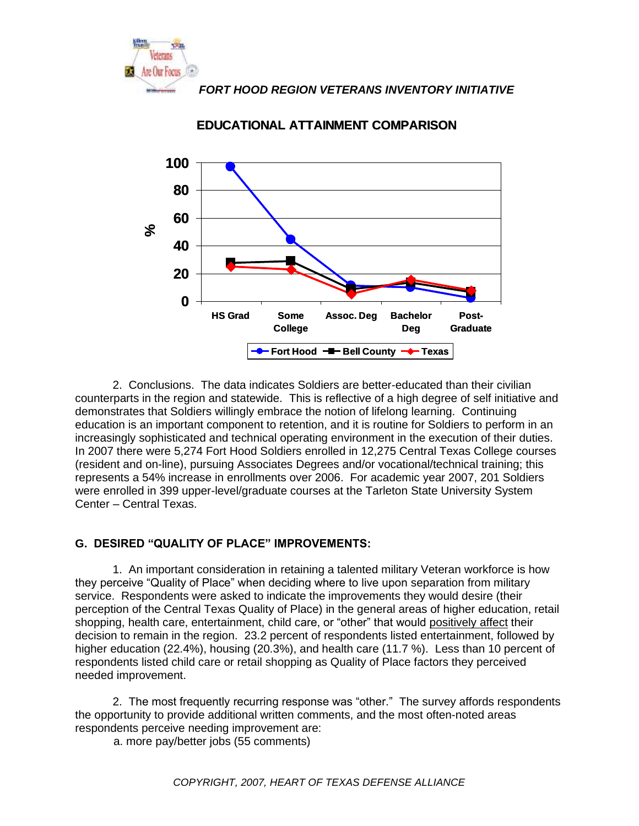



**EDUCATIONAL ATTAINMENT COMPARISON**

2. Conclusions. The data indicates Soldiers are better-educated than their civilian counterparts in the region and statewide. This is reflective of a high degree of self initiative and demonstrates that Soldiers willingly embrace the notion of lifelong learning. Continuing education is an important component to retention, and it is routine for Soldiers to perform in an increasingly sophisticated and technical operating environment in the execution of their duties. In 2007 there were 5,274 Fort Hood Soldiers enrolled in 12,275 Central Texas College courses (resident and on-line), pursuing Associates Degrees and/or vocational/technical training; this represents a 54% increase in enrollments over 2006. For academic year 2007, 201 Soldiers were enrolled in 399 upper-level/graduate courses at the Tarleton State University System Center – Central Texas.

#### **G. DESIRED "QUALITY OF PLACE" IMPROVEMENTS:**

1. An important consideration in retaining a talented military Veteran workforce is how they perceive "Quality of Place" when deciding where to live upon separation from military service. Respondents were asked to indicate the improvements they would desire (their perception of the Central Texas Quality of Place) in the general areas of higher education, retail shopping, health care, entertainment, child care, or "other" that would positively affect their decision to remain in the region. 23.2 percent of respondents listed entertainment, followed by higher education (22.4%), housing (20.3%), and health care (11.7 %). Less than 10 percent of respondents listed child care or retail shopping as Quality of Place factors they perceived needed improvement.

2. The most frequently recurring response was "other." The survey affords respondents the opportunity to provide additional written comments, and the most often-noted areas respondents perceive needing improvement are:

a. more pay/better jobs (55 comments)